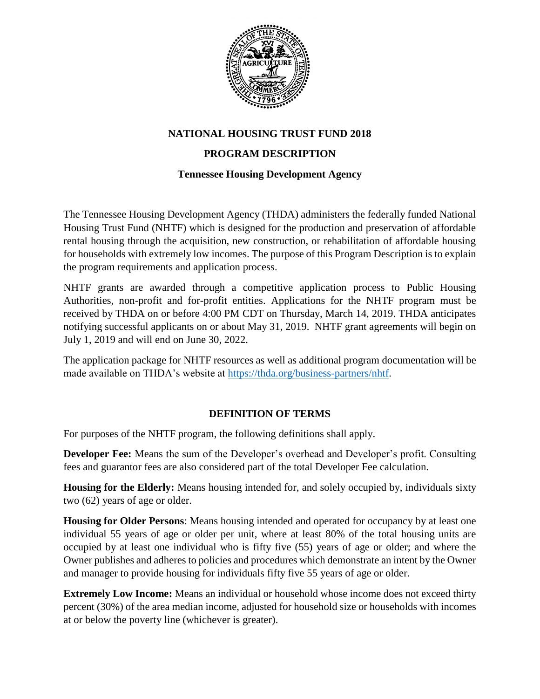

## **NATIONAL HOUSING TRUST FUND 2018**

## **PROGRAM DESCRIPTION**

### **Tennessee Housing Development Agency**

The Tennessee Housing Development Agency (THDA) administers the federally funded National Housing Trust Fund (NHTF) which is designed for the production and preservation of affordable rental housing through the acquisition, new construction, or rehabilitation of affordable housing for households with extremely low incomes. The purpose of this Program Description is to explain the program requirements and application process.

NHTF grants are awarded through a competitive application process to Public Housing Authorities, non-profit and for-profit entities. Applications for the NHTF program must be received by THDA on or before 4:00 PM CDT on Thursday, March 14, 2019. THDA anticipates notifying successful applicants on or about May 31, 2019. NHTF grant agreements will begin on July 1, 2019 and will end on June 30, 2022.

The application package for NHTF resources as well as additional program documentation will be made available on THDA's website at [https://thda.org/business-partners/nhtf.](https://thda.org/business-partners/nhtf)

## **DEFINITION OF TERMS**

For purposes of the NHTF program, the following definitions shall apply.

**Developer Fee:** Means the sum of the Developer's overhead and Developer's profit. Consulting fees and guarantor fees are also considered part of the total Developer Fee calculation.

**Housing for the Elderly:** Means housing intended for, and solely occupied by, individuals sixty two (62) years of age or older.

**Housing for Older Persons**: Means housing intended and operated for occupancy by at least one individual 55 years of age or older per unit, where at least 80% of the total housing units are occupied by at least one individual who is fifty five (55) years of age or older; and where the Owner publishes and adheres to policies and procedures which demonstrate an intent by the Owner and manager to provide housing for individuals fifty five 55 years of age or older.

**Extremely Low Income:** Means an individual or household whose income does not exceed thirty percent (30%) of the area median income, adjusted for household size or households with incomes at or below the poverty line (whichever is greater).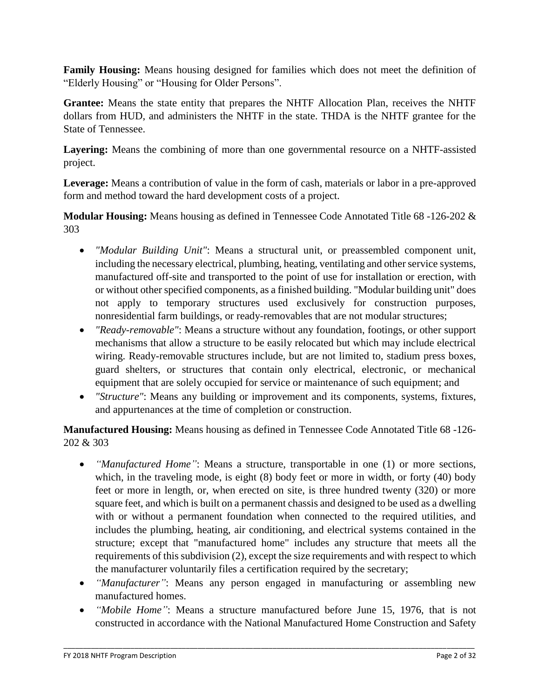**Family Housing:** Means housing designed for families which does not meet the definition of "Elderly Housing" or "Housing for Older Persons".

**Grantee:** Means the state entity that prepares the NHTF Allocation Plan, receives the NHTF dollars from HUD, and administers the NHTF in the state. THDA is the NHTF grantee for the State of Tennessee.

Layering: Means the combining of more than one governmental resource on a NHTF-assisted project.

**Leverage:** Means a contribution of value in the form of cash, materials or labor in a pre-approved form and method toward the hard development costs of a project.

**Modular Housing:** Means housing as defined in Tennessee Code Annotated Title 68 -126-202 & 303

- *"Modular Building Unit"*: Means a structural unit, or preassembled component unit, including the necessary electrical, plumbing, heating, ventilating and other service systems, manufactured off-site and transported to the point of use for installation or erection, with or without other specified components, as a finished building. "Modular building unit" does not apply to temporary structures used exclusively for construction purposes, nonresidential farm buildings, or ready-removables that are not modular structures;
- *"Ready-removable"*: Means a structure without any foundation, footings, or other support mechanisms that allow a structure to be easily relocated but which may include electrical wiring. Ready-removable structures include, but are not limited to, stadium press boxes, guard shelters, or structures that contain only electrical, electronic, or mechanical equipment that are solely occupied for service or maintenance of such equipment; and
- *"Structure"*: Means any building or improvement and its components, systems, fixtures, and appurtenances at the time of completion or construction.

**Manufactured Housing:** Means housing as defined in Tennessee Code Annotated Title 68 -126- 202 & 303

- *"Manufactured Home"*: Means a structure, transportable in one (1) or more sections, which, in the traveling mode, is eight (8) body feet or more in width, or forty (40) body feet or more in length, or, when erected on site, is three hundred twenty (320) or more square feet, and which is built on a permanent chassis and designed to be used as a dwelling with or without a permanent foundation when connected to the required utilities, and includes the plumbing, heating, air conditioning, and electrical systems contained in the structure; except that "manufactured home" includes any structure that meets all the requirements of this subdivision (2), except the size requirements and with respect to which the manufacturer voluntarily files a certification required by the secretary;
- *"Manufacturer"*: Means any person engaged in manufacturing or assembling new manufactured homes.
- *"Mobile Home"*: Means a structure manufactured before June 15, 1976, that is not constructed in accordance with the National Manufactured Home Construction and Safety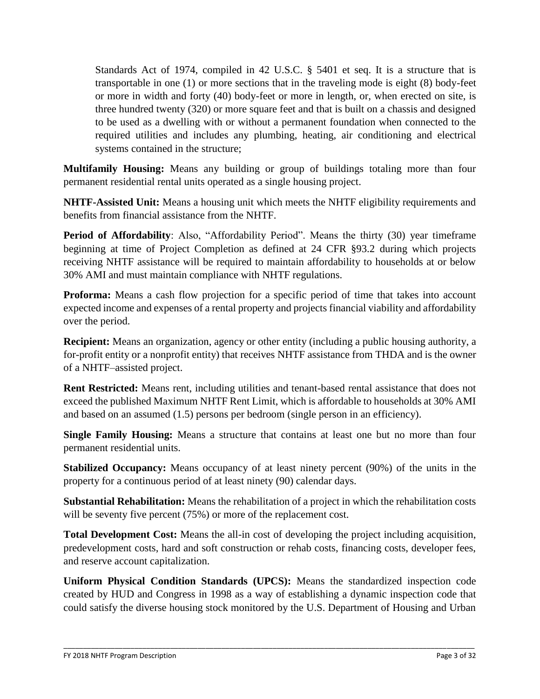Standards Act of 1974, compiled in 42 U.S.C. § 5401 et seq. It is a structure that is transportable in one (1) or more sections that in the traveling mode is eight (8) body-feet or more in width and forty (40) body-feet or more in length, or, when erected on site, is three hundred twenty (320) or more square feet and that is built on a chassis and designed to be used as a dwelling with or without a permanent foundation when connected to the required utilities and includes any plumbing, heating, air conditioning and electrical systems contained in the structure;

**Multifamily Housing:** Means any building or group of buildings totaling more than four permanent residential rental units operated as a single housing project.

**NHTF-Assisted Unit:** Means a housing unit which meets the NHTF eligibility requirements and benefits from financial assistance from the NHTF.

**Period of Affordability**: Also, "Affordability Period". Means the thirty (30) year timeframe beginning at time of Project Completion as defined at 24 CFR §93.2 during which projects receiving NHTF assistance will be required to maintain affordability to households at or below 30% AMI and must maintain compliance with NHTF regulations.

**Proforma:** Means a cash flow projection for a specific period of time that takes into account expected income and expenses of a rental property and projects financial viability and affordability over the period.

**Recipient:** Means an organization, agency or other entity (including a public housing authority, a for-profit entity or a nonprofit entity) that receives NHTF assistance from THDA and is the owner of a NHTF–assisted project.

**Rent Restricted:** Means rent, including utilities and tenant-based rental assistance that does not exceed the published Maximum NHTF Rent Limit, which is affordable to households at 30% AMI and based on an assumed (1.5) persons per bedroom (single person in an efficiency).

**Single Family Housing:** Means a structure that contains at least one but no more than four permanent residential units.

**Stabilized Occupancy:** Means occupancy of at least ninety percent (90%) of the units in the property for a continuous period of at least ninety (90) calendar days.

**Substantial Rehabilitation:** Means the rehabilitation of a project in which the rehabilitation costs will be seventy five percent (75%) or more of the replacement cost.

**Total Development Cost:** Means the all-in cost of developing the project including acquisition, predevelopment costs, hard and soft construction or rehab costs, financing costs, developer fees, and reserve account capitalization.

**Uniform Physical Condition Standards (UPCS):** Means the standardized inspection code created by HUD and Congress in 1998 as a way of establishing a dynamic inspection code that could satisfy the diverse housing stock monitored by the U.S. Department of Housing and Urban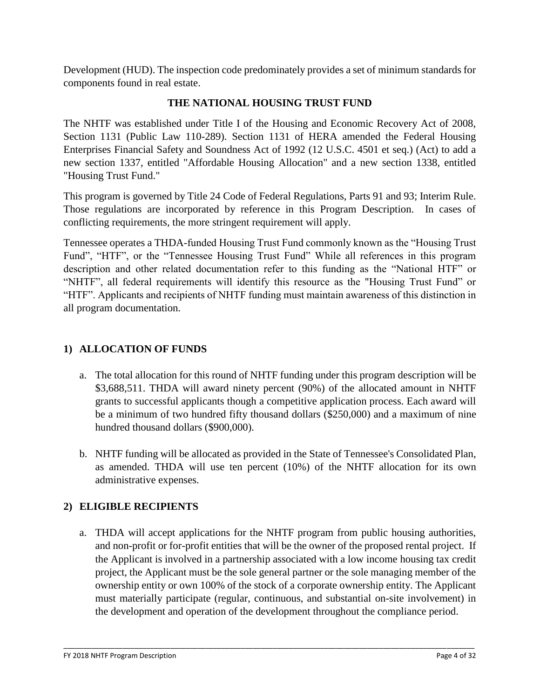Development (HUD). The inspection code predominately provides a set of minimum standards for components found in real estate.

## **THE NATIONAL HOUSING TRUST FUND**

The NHTF was established under Title I of the Housing and Economic Recovery Act of 2008, Section 1131 (Public Law 110-289). Section 1131 of HERA amended the Federal Housing Enterprises Financial Safety and Soundness Act of 1992 (12 U.S.C. 4501 et seq.) (Act) to add a new section 1337, entitled "Affordable Housing Allocation" and a new section 1338, entitled "Housing Trust Fund."

This program is governed by Title 24 Code of Federal Regulations, Parts 91 and 93; Interim Rule. Those regulations are incorporated by reference in this Program Description. In cases of conflicting requirements, the more stringent requirement will apply.

Tennessee operates a THDA-funded Housing Trust Fund commonly known as the "Housing Trust Fund", "HTF", or the "Tennessee Housing Trust Fund" While all references in this program description and other related documentation refer to this funding as the "National HTF" or "NHTF", all federal requirements will identify this resource as the "Housing Trust Fund" or "HTF". Applicants and recipients of NHTF funding must maintain awareness of this distinction in all program documentation.

## **1) ALLOCATION OF FUNDS**

- a. The total allocation for this round of NHTF funding under this program description will be \$3,688,511. THDA will award ninety percent (90%) of the allocated amount in NHTF grants to successful applicants though a competitive application process. Each award will be a minimum of two hundred fifty thousand dollars (\$250,000) and a maximum of nine hundred thousand dollars (\$900,000).
- b. NHTF funding will be allocated as provided in the State of Tennessee's Consolidated Plan, as amended. THDA will use ten percent (10%) of the NHTF allocation for its own administrative expenses.

# **2) ELIGIBLE RECIPIENTS**

a. THDA will accept applications for the NHTF program from public housing authorities, and non-profit or for-profit entities that will be the owner of the proposed rental project. If the Applicant is involved in a partnership associated with a low income housing tax credit project, the Applicant must be the sole general partner or the sole managing member of the ownership entity or own 100% of the stock of a corporate ownership entity. The Applicant must materially participate (regular, continuous, and substantial on-site involvement) in the development and operation of the development throughout the compliance period.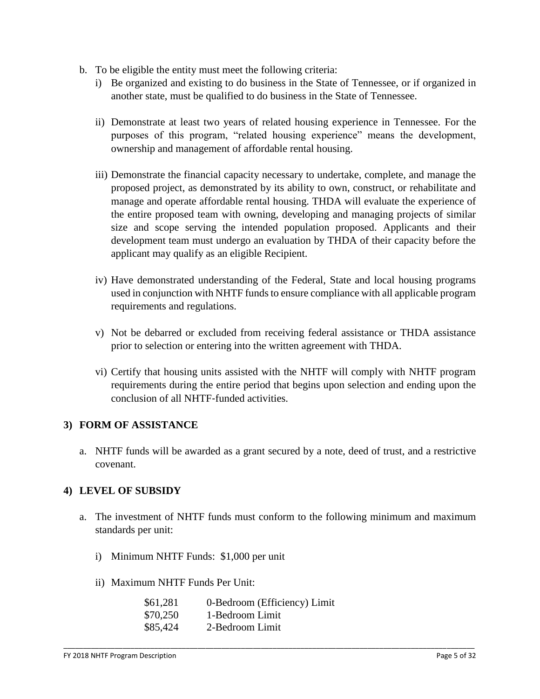- b. To be eligible the entity must meet the following criteria:
	- i) Be organized and existing to do business in the State of Tennessee, or if organized in another state, must be qualified to do business in the State of Tennessee.
	- ii) Demonstrate at least two years of related housing experience in Tennessee. For the purposes of this program, "related housing experience" means the development, ownership and management of affordable rental housing.
	- iii) Demonstrate the financial capacity necessary to undertake, complete, and manage the proposed project, as demonstrated by its ability to own, construct, or rehabilitate and manage and operate affordable rental housing. THDA will evaluate the experience of the entire proposed team with owning, developing and managing projects of similar size and scope serving the intended population proposed. Applicants and their development team must undergo an evaluation by THDA of their capacity before the applicant may qualify as an eligible Recipient.
	- iv) Have demonstrated understanding of the Federal, State and local housing programs used in conjunction with NHTF funds to ensure compliance with all applicable program requirements and regulations.
	- v) Not be debarred or excluded from receiving federal assistance or THDA assistance prior to selection or entering into the written agreement with THDA.
	- vi) Certify that housing units assisted with the NHTF will comply with NHTF program requirements during the entire period that begins upon selection and ending upon the conclusion of all NHTF‐funded activities.

#### **3) FORM OF ASSISTANCE**

a. NHTF funds will be awarded as a grant secured by a note, deed of trust, and a restrictive covenant.

#### **4) LEVEL OF SUBSIDY**

a. The investment of NHTF funds must conform to the following minimum and maximum standards per unit:

- i) Minimum NHTF Funds: \$1,000 per unit
- ii) Maximum NHTF Funds Per Unit:

| \$61,281 | 0-Bedroom (Efficiency) Limit |
|----------|------------------------------|
| \$70,250 | 1-Bedroom Limit              |
| \$85,424 | 2-Bedroom Limit              |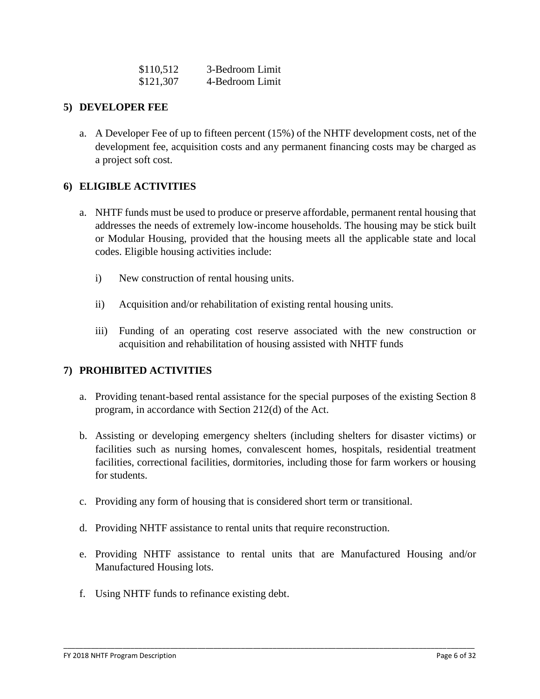| \$110,512 | 3-Bedroom Limit |
|-----------|-----------------|
| \$121,307 | 4-Bedroom Limit |

#### **5) DEVELOPER FEE**

a. A Developer Fee of up to fifteen percent (15%) of the NHTF development costs, net of the development fee, acquisition costs and any permanent financing costs may be charged as a project soft cost.

### **6) ELIGIBLE ACTIVITIES**

- a. NHTF funds must be used to produce or preserve affordable, permanent rental housing that addresses the needs of extremely low-income households. The housing may be stick built or Modular Housing, provided that the housing meets all the applicable state and local codes. Eligible housing activities include:
	- i) New construction of rental housing units.
	- ii) Acquisition and/or rehabilitation of existing rental housing units.
	- iii) Funding of an operating cost reserve associated with the new construction or acquisition and rehabilitation of housing assisted with NHTF funds

## **7) PROHIBITED ACTIVITIES**

- a. Providing tenant-based rental assistance for the special purposes of the existing Section 8 program, in accordance with Section 212(d) of the Act.
- b. Assisting or developing emergency shelters (including shelters for disaster victims) or facilities such as nursing homes, convalescent homes, hospitals, residential treatment facilities, correctional facilities, dormitories, including those for farm workers or housing for students.
- c. Providing any form of housing that is considered short term or transitional.
- d. Providing NHTF assistance to rental units that require reconstruction.
- e. Providing NHTF assistance to rental units that are Manufactured Housing and/or Manufactured Housing lots.

\_\_\_\_\_\_\_\_\_\_\_\_\_\_\_\_\_\_\_\_\_\_\_\_\_\_\_\_\_\_\_\_\_\_\_\_\_\_\_\_\_\_\_\_\_\_\_\_\_\_\_\_\_\_\_\_\_\_\_\_\_\_\_\_\_\_\_\_\_\_\_\_\_\_\_\_\_\_\_\_\_\_\_\_\_\_\_\_\_\_\_\_\_\_\_\_\_\_\_\_\_\_\_\_

f. Using NHTF funds to refinance existing debt.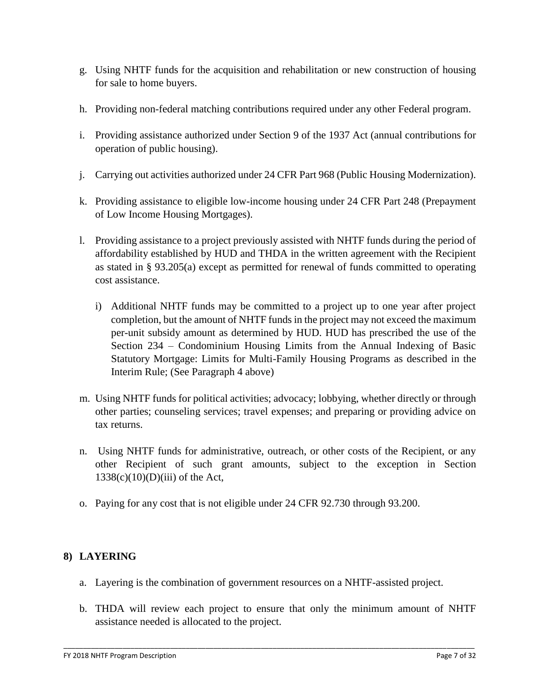- g. Using NHTF funds for the acquisition and rehabilitation or new construction of housing for sale to home buyers.
- h. Providing non-federal matching contributions required under any other Federal program.
- i. Providing assistance authorized under Section 9 of the 1937 Act (annual contributions for operation of public housing).
- j. Carrying out activities authorized under 24 CFR Part 968 (Public Housing Modernization).
- k. Providing assistance to eligible low-income housing under 24 CFR Part 248 (Prepayment of Low Income Housing Mortgages).
- l. Providing assistance to a project previously assisted with NHTF funds during the period of affordability established by HUD and THDA in the written agreement with the Recipient as stated in § 93.205(a) except as permitted for renewal of funds committed to operating cost assistance.
	- i) Additional NHTF funds may be committed to a project up to one year after project completion, but the amount of NHTF funds in the project may not exceed the maximum per-unit subsidy amount as determined by HUD. HUD has prescribed the use of the Section 234 – Condominium Housing Limits from the Annual Indexing of Basic Statutory Mortgage: Limits for Multi-Family Housing Programs as described in the Interim Rule; (See Paragraph 4 above)
- m. Using NHTF funds for political activities; advocacy; lobbying, whether directly or through other parties; counseling services; travel expenses; and preparing or providing advice on tax returns.
- n. Using NHTF funds for administrative, outreach, or other costs of the Recipient, or any other Recipient of such grant amounts, subject to the exception in Section  $1338(c)(10)(D)(iii)$  of the Act,
- o. Paying for any cost that is not eligible under 24 CFR 92.730 through 93.200.

## **8) LAYERING**

- a. Layering is the combination of government resources on a NHTF-assisted project.
- b. THDA will review each project to ensure that only the minimum amount of NHTF assistance needed is allocated to the project.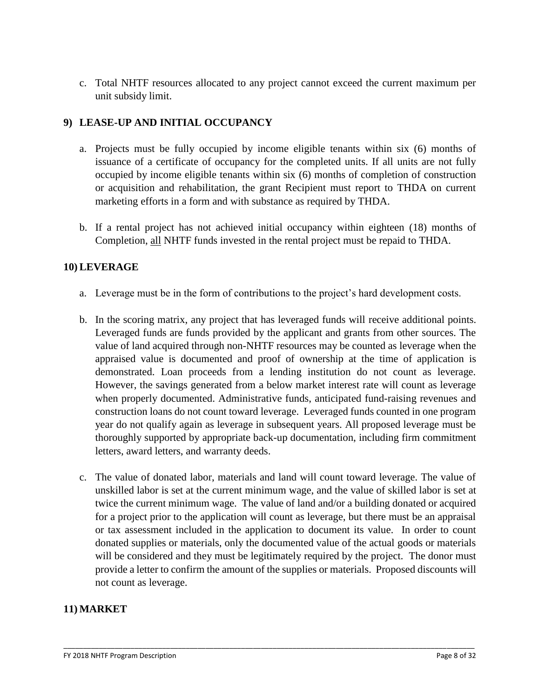c. Total NHTF resources allocated to any project cannot exceed the current maximum per unit subsidy limit.

## **9) LEASE-UP AND INITIAL OCCUPANCY**

- a. Projects must be fully occupied by income eligible tenants within six (6) months of issuance of a certificate of occupancy for the completed units. If all units are not fully occupied by income eligible tenants within six (6) months of completion of construction or acquisition and rehabilitation, the grant Recipient must report to THDA on current marketing efforts in a form and with substance as required by THDA.
- b. If a rental project has not achieved initial occupancy within eighteen (18) months of Completion, all NHTF funds invested in the rental project must be repaid to THDA.

#### **10) LEVERAGE**

- a. Leverage must be in the form of contributions to the project's hard development costs.
- b. In the scoring matrix, any project that has leveraged funds will receive additional points. Leveraged funds are funds provided by the applicant and grants from other sources. The value of land acquired through non-NHTF resources may be counted as leverage when the appraised value is documented and proof of ownership at the time of application is demonstrated. Loan proceeds from a lending institution do not count as leverage. However, the savings generated from a below market interest rate will count as leverage when properly documented. Administrative funds, anticipated fund-raising revenues and construction loans do not count toward leverage. Leveraged funds counted in one program year do not qualify again as leverage in subsequent years. All proposed leverage must be thoroughly supported by appropriate back-up documentation, including firm commitment letters, award letters, and warranty deeds.
- c. The value of donated labor, materials and land will count toward leverage. The value of unskilled labor is set at the current minimum wage, and the value of skilled labor is set at twice the current minimum wage. The value of land and/or a building donated or acquired for a project prior to the application will count as leverage, but there must be an appraisal or tax assessment included in the application to document its value. In order to count donated supplies or materials, only the documented value of the actual goods or materials will be considered and they must be legitimately required by the project. The donor must provide a letter to confirm the amount of the supplies or materials. Proposed discounts will not count as leverage.

\_\_\_\_\_\_\_\_\_\_\_\_\_\_\_\_\_\_\_\_\_\_\_\_\_\_\_\_\_\_\_\_\_\_\_\_\_\_\_\_\_\_\_\_\_\_\_\_\_\_\_\_\_\_\_\_\_\_\_\_\_\_\_\_\_\_\_\_\_\_\_\_\_\_\_\_\_\_\_\_\_\_\_\_\_\_\_\_\_\_\_\_\_\_\_\_\_\_\_\_\_\_\_\_

#### **11) MARKET**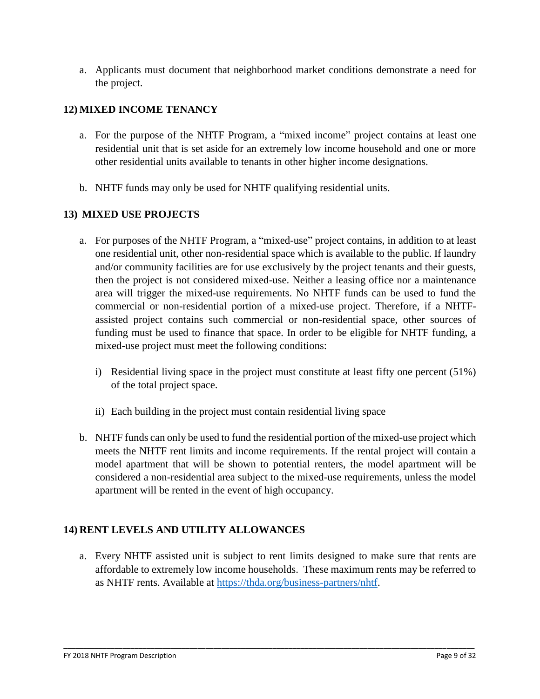a. Applicants must document that neighborhood market conditions demonstrate a need for the project.

## **12) MIXED INCOME TENANCY**

- a. For the purpose of the NHTF Program, a "mixed income" project contains at least one residential unit that is set aside for an extremely low income household and one or more other residential units available to tenants in other higher income designations.
- b. NHTF funds may only be used for NHTF qualifying residential units.

### **13) MIXED USE PROJECTS**

- a. For purposes of the NHTF Program, a "mixed-use" project contains, in addition to at least one residential unit, other non-residential space which is available to the public. If laundry and/or community facilities are for use exclusively by the project tenants and their guests, then the project is not considered mixed-use. Neither a leasing office nor a maintenance area will trigger the mixed-use requirements. No NHTF funds can be used to fund the commercial or non-residential portion of a mixed-use project. Therefore, if a NHTFassisted project contains such commercial or non-residential space, other sources of funding must be used to finance that space. In order to be eligible for NHTF funding, a mixed-use project must meet the following conditions:
	- i) Residential living space in the project must constitute at least fifty one percent (51%) of the total project space.
	- ii) Each building in the project must contain residential living space
- b. NHTF funds can only be used to fund the residential portion of the mixed-use project which meets the NHTF rent limits and income requirements. If the rental project will contain a model apartment that will be shown to potential renters, the model apartment will be considered a non-residential area subject to the mixed-use requirements, unless the model apartment will be rented in the event of high occupancy.

## **14) RENT LEVELS AND UTILITY ALLOWANCES**

a. Every NHTF assisted unit is subject to rent limits designed to make sure that rents are affordable to extremely low income households. These maximum rents may be referred to as NHTF rents. Available at [https://thda.org/business-partners/nhtf.](https://thda.org/business-partners/nhtf)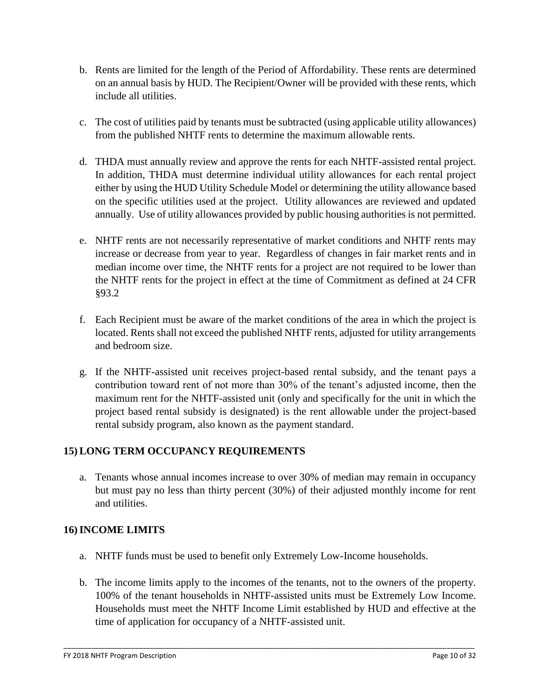- b. Rents are limited for the length of the Period of Affordability. These rents are determined on an annual basis by HUD. The Recipient/Owner will be provided with these rents, which include all utilities.
- c. The cost of utilities paid by tenants must be subtracted (using applicable utility allowances) from the published NHTF rents to determine the maximum allowable rents.
- d. THDA must annually review and approve the rents for each NHTF-assisted rental project. In addition, THDA must determine individual utility allowances for each rental project either by using the HUD Utility Schedule Model or determining the utility allowance based on the specific utilities used at the project. Utility allowances are reviewed and updated annually. Use of utility allowances provided by public housing authorities is not permitted.
- e. NHTF rents are not necessarily representative of market conditions and NHTF rents may increase or decrease from year to year. Regardless of changes in fair market rents and in median income over time, the NHTF rents for a project are not required to be lower than the NHTF rents for the project in effect at the time of Commitment as defined at 24 CFR §93.2
- f. Each Recipient must be aware of the market conditions of the area in which the project is located. Rents shall not exceed the published NHTF rents, adjusted for utility arrangements and bedroom size.
- g. If the NHTF-assisted unit receives project-based rental subsidy, and the tenant pays a contribution toward rent of not more than 30% of the tenant's adjusted income, then the maximum rent for the NHTF-assisted unit (only and specifically for the unit in which the project based rental subsidy is designated) is the rent allowable under the project-based rental subsidy program, also known as the payment standard.

# **15) LONG TERM OCCUPANCY REQUIREMENTS**

a. Tenants whose annual incomes increase to over 30% of median may remain in occupancy but must pay no less than thirty percent (30%) of their adjusted monthly income for rent and utilities.

## **16)INCOME LIMITS**

- a. NHTF funds must be used to benefit only Extremely Low-Income households.
- b. The income limits apply to the incomes of the tenants, not to the owners of the property. 100% of the tenant households in NHTF-assisted units must be Extremely Low Income. Households must meet the NHTF Income Limit established by HUD and effective at the time of application for occupancy of a NHTF-assisted unit.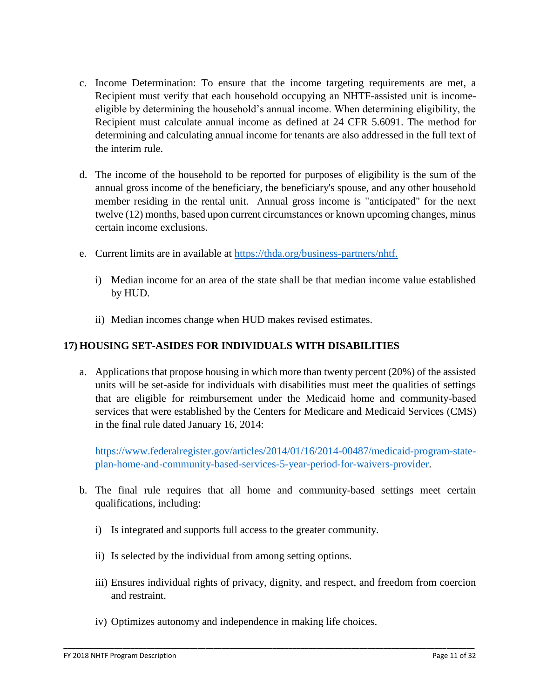- c. Income Determination: To ensure that the income targeting requirements are met, a Recipient must verify that each household occupying an NHTF-assisted unit is incomeeligible by determining the household's annual income. When determining eligibility, the Recipient must calculate annual income as defined at 24 CFR 5.6091. The method for determining and calculating annual income for tenants are also addressed in the full text of the interim rule.
- d. The income of the household to be reported for purposes of eligibility is the sum of the annual gross income of the beneficiary, the beneficiary's spouse, and any other household member residing in the rental unit. Annual gross income is "anticipated" for the next twelve (12) months, based upon current circumstances or known upcoming changes, minus certain income exclusions.
- e. Current limits are in available at [https://thda.org/business-partners/nhtf.](https://thda.org/business-partners/nhtf)
	- i) Median income for an area of the state shall be that median income value established by HUD.
	- ii) Median incomes change when HUD makes revised estimates.

### **17) HOUSING SET-ASIDES FOR INDIVIDUALS WITH DISABILITIES**

a. Applications that propose housing in which more than twenty percent (20%) of the assisted units will be set-aside for individuals with disabilities must meet the qualities of settings that are eligible for reimbursement under the Medicaid home and community-based services that were established by the Centers for Medicare and Medicaid Services (CMS) in the final rule dated January 16, 2014:

[https://www.federalregister.gov/articles/2014/01/16/2014-00487/medicaid-program-state](https://www.federalregister.gov/articles/2014/01/16/2014-00487/medicaid-program-state-plan-home-and-community-based-services-5-year-period-for-waivers-provider)[plan-home-and-community-based-services-5-year-period-for-waivers-provider.](https://www.federalregister.gov/articles/2014/01/16/2014-00487/medicaid-program-state-plan-home-and-community-based-services-5-year-period-for-waivers-provider)

- b. The final rule requires that all home and community-based settings meet certain qualifications, including:
	- i) Is integrated and supports full access to the greater community.
	- ii) Is selected by the individual from among setting options.
	- iii) Ensures individual rights of privacy, dignity, and respect, and freedom from coercion and restraint.

\_\_\_\_\_\_\_\_\_\_\_\_\_\_\_\_\_\_\_\_\_\_\_\_\_\_\_\_\_\_\_\_\_\_\_\_\_\_\_\_\_\_\_\_\_\_\_\_\_\_\_\_\_\_\_\_\_\_\_\_\_\_\_\_\_\_\_\_\_\_\_\_\_\_\_\_\_\_\_\_\_\_\_\_\_\_\_\_\_\_\_\_\_\_\_\_\_\_\_\_\_\_\_\_

iv) Optimizes autonomy and independence in making life choices.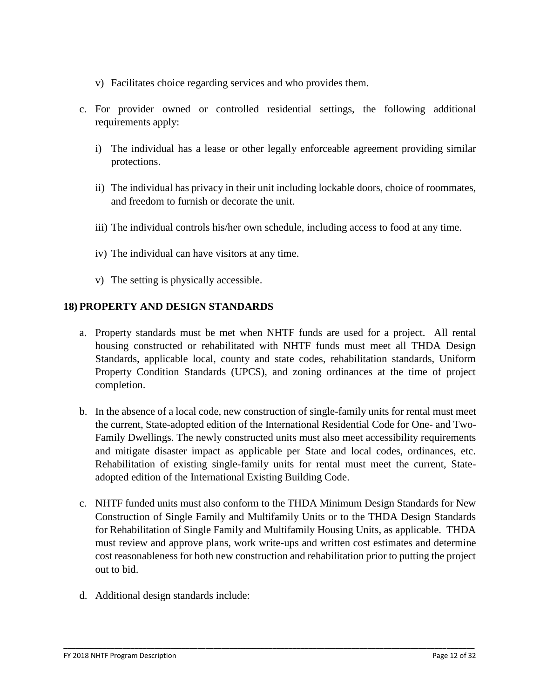- v) Facilitates choice regarding services and who provides them.
- c. For provider owned or controlled residential settings, the following additional requirements apply:
	- i) The individual has a lease or other legally enforceable agreement providing similar protections.
	- ii) The individual has privacy in their unit including lockable doors, choice of roommates, and freedom to furnish or decorate the unit.
	- iii) The individual controls his/her own schedule, including access to food at any time.
	- iv) The individual can have visitors at any time.
	- v) The setting is physically accessible.

#### **18) PROPERTY AND DESIGN STANDARDS**

- a. Property standards must be met when NHTF funds are used for a project. All rental housing constructed or rehabilitated with NHTF funds must meet all THDA Design Standards, applicable local, county and state codes, rehabilitation standards, Uniform Property Condition Standards (UPCS), and zoning ordinances at the time of project completion.
- b. In the absence of a local code, new construction of single-family units for rental must meet the current, State-adopted edition of the International Residential Code for One- and Two-Family Dwellings. The newly constructed units must also meet accessibility requirements and mitigate disaster impact as applicable per State and local codes, ordinances, etc. Rehabilitation of existing single-family units for rental must meet the current, Stateadopted edition of the International Existing Building Code.
- c. NHTF funded units must also conform to the THDA Minimum Design Standards for New Construction of Single Family and Multifamily Units or to the THDA Design Standards for Rehabilitation of Single Family and Multifamily Housing Units, as applicable. THDA must review and approve plans, work write-ups and written cost estimates and determine cost reasonableness for both new construction and rehabilitation prior to putting the project out to bid.

\_\_\_\_\_\_\_\_\_\_\_\_\_\_\_\_\_\_\_\_\_\_\_\_\_\_\_\_\_\_\_\_\_\_\_\_\_\_\_\_\_\_\_\_\_\_\_\_\_\_\_\_\_\_\_\_\_\_\_\_\_\_\_\_\_\_\_\_\_\_\_\_\_\_\_\_\_\_\_\_\_\_\_\_\_\_\_\_\_\_\_\_\_\_\_\_\_\_\_\_\_\_\_\_

d. Additional design standards include: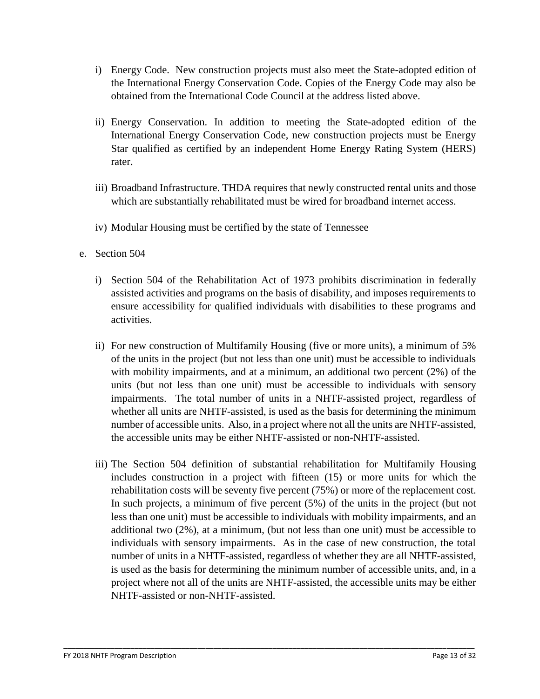- i) Energy Code. New construction projects must also meet the State-adopted edition of the International Energy Conservation Code. Copies of the Energy Code may also be obtained from the International Code Council at the address listed above.
- ii) Energy Conservation. In addition to meeting the State-adopted edition of the International Energy Conservation Code, new construction projects must be Energy Star qualified as certified by an independent Home Energy Rating System (HERS) rater.
- iii) Broadband Infrastructure. THDA requires that newly constructed rental units and those which are substantially rehabilitated must be wired for broadband internet access.
- iv) Modular Housing must be certified by the state of Tennessee
- e. Section 504
	- i) Section 504 of the Rehabilitation Act of 1973 prohibits discrimination in federally assisted activities and programs on the basis of disability, and imposes requirements to ensure accessibility for qualified individuals with disabilities to these programs and activities.
	- ii) For new construction of Multifamily Housing (five or more units), a minimum of 5% of the units in the project (but not less than one unit) must be accessible to individuals with mobility impairments, and at a minimum, an additional two percent (2%) of the units (but not less than one unit) must be accessible to individuals with sensory impairments. The total number of units in a NHTF-assisted project, regardless of whether all units are NHTF-assisted, is used as the basis for determining the minimum number of accessible units. Also, in a project where not all the units are NHTF-assisted, the accessible units may be either NHTF-assisted or non-NHTF-assisted.
	- iii) The Section 504 definition of substantial rehabilitation for Multifamily Housing includes construction in a project with fifteen (15) or more units for which the rehabilitation costs will be seventy five percent (75%) or more of the replacement cost. In such projects, a minimum of five percent (5%) of the units in the project (but not less than one unit) must be accessible to individuals with mobility impairments, and an additional two (2%), at a minimum, (but not less than one unit) must be accessible to individuals with sensory impairments. As in the case of new construction, the total number of units in a NHTF-assisted, regardless of whether they are all NHTF-assisted, is used as the basis for determining the minimum number of accessible units, and, in a project where not all of the units are NHTF-assisted, the accessible units may be either NHTF-assisted or non-NHTF-assisted.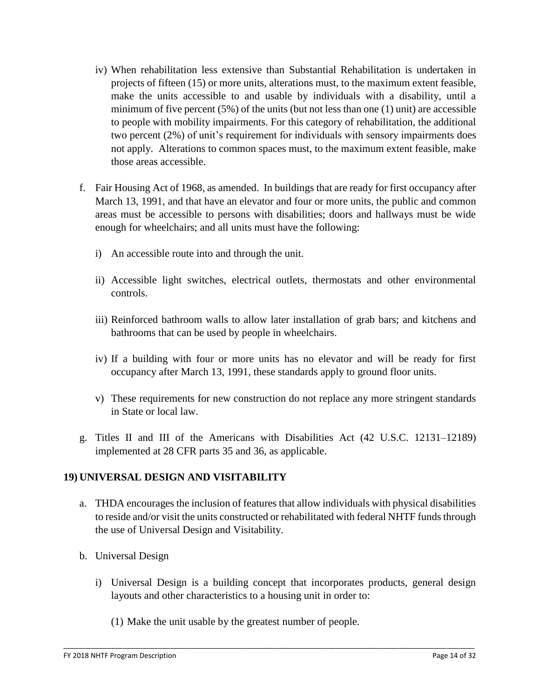- iv) When rehabilitation less extensive than Substantial Rehabilitation is undertaken in projects of fifteen (15) or more units, alterations must, to the maximum extent feasible, make the units accessible to and usable by individuals with a disability, until a minimum of five percent  $(5%)$  of the units (but not less than one  $(1)$  unit) are accessible to people with mobility impairments. For this category of rehabilitation, the additional two percent (2%) of unit's requirement for individuals with sensory impairments does not apply. Alterations to common spaces must, to the maximum extent feasible, make those areas accessible.
- f. Fair Housing Act of 1968, as amended. In buildings that are ready for first occupancy after March 13, 1991, and that have an elevator and four or more units, the public and common areas must be accessible to persons with disabilities; doors and hallways must be wide enough for wheelchairs; and all units must have the following:
	- i) An accessible route into and through the unit.
	- ii) Accessible light switches, electrical outlets, thermostats and other environmental controls.
	- iii) Reinforced bathroom walls to allow later installation of grab bars; and kitchens and bathrooms that can be used by people in wheelchairs.
	- iv) If a building with four or more units has no elevator and will be ready for first occupancy after March 13, 1991, these standards apply to ground floor units.
	- v) These requirements for new construction do not replace any more stringent standards in State or local law.
- g. Titles II and III of the Americans with Disabilities Act (42 U.S.C. 12131–12189) implemented at 28 CFR parts 35 and 36, as applicable.

#### **19) UNIVERSAL DESIGN AND VISITABILITY**

- a. THDA encourages the inclusion of features that allow individuals with physical disabilities to reside and/or visit the units constructed or rehabilitated with federal NHTF funds through the use of Universal Design and Visitability.
- b. Universal Design
	- i) Universal Design is a building concept that incorporates products, general design layouts and other characteristics to a housing unit in order to:

\_\_\_\_\_\_\_\_\_\_\_\_\_\_\_\_\_\_\_\_\_\_\_\_\_\_\_\_\_\_\_\_\_\_\_\_\_\_\_\_\_\_\_\_\_\_\_\_\_\_\_\_\_\_\_\_\_\_\_\_\_\_\_\_\_\_\_\_\_\_\_\_\_\_\_\_\_\_\_\_\_\_\_\_\_\_\_\_\_\_\_\_\_\_\_\_\_\_\_\_\_\_\_\_

(1) Make the unit usable by the greatest number of people.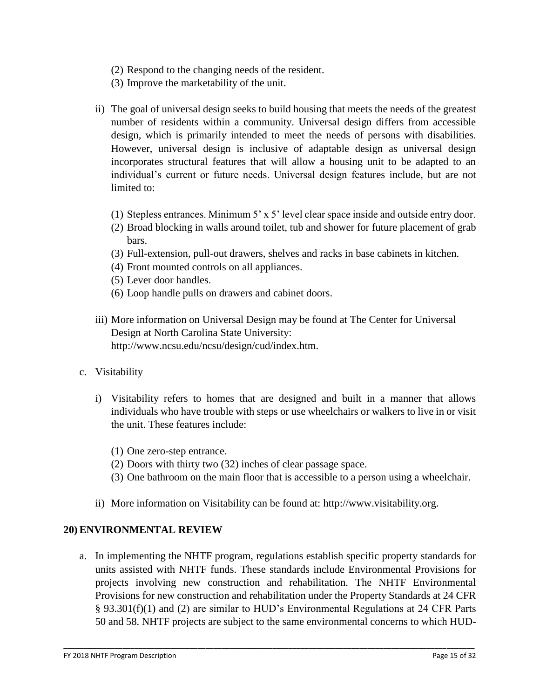- (2) Respond to the changing needs of the resident.
- (3) Improve the marketability of the unit.
- ii) The goal of universal design seeks to build housing that meets the needs of the greatest number of residents within a community. Universal design differs from accessible design, which is primarily intended to meet the needs of persons with disabilities. However, universal design is inclusive of adaptable design as universal design incorporates structural features that will allow a housing unit to be adapted to an individual's current or future needs. Universal design features include, but are not limited to:
	- (1) Stepless entrances. Minimum 5' x 5' level clear space inside and outside entry door.
	- (2) Broad blocking in walls around toilet, tub and shower for future placement of grab bars.
	- (3) Full-extension, pull-out drawers, shelves and racks in base cabinets in kitchen.
	- (4) Front mounted controls on all appliances.
	- (5) Lever door handles.
	- (6) Loop handle pulls on drawers and cabinet doors.
- iii) More information on Universal Design may be found at The Center for Universal Design at North Carolina State University: http://www.ncsu.edu/ncsu/design/cud/index.htm.
- c. Visitability
	- i) Visitability refers to homes that are designed and built in a manner that allows individuals who have trouble with steps or use wheelchairs or walkers to live in or visit the unit. These features include:
		- (1) One zero-step entrance.
		- (2) Doors with thirty two (32) inches of clear passage space.
		- (3) One bathroom on the main floor that is accessible to a person using a wheelchair.
	- ii) More information on Visitability can be found at: http://www.visitability.org.

#### **20) ENVIRONMENTAL REVIEW**

a. In implementing the NHTF program, regulations establish specific property standards for units assisted with NHTF funds. These standards include Environmental Provisions for projects involving new construction and rehabilitation. The NHTF Environmental Provisions for new construction and rehabilitation under the Property Standards at 24 CFR § 93.301(f)(1) and (2) are similar to HUD's Environmental Regulations at 24 CFR Parts 50 and 58. NHTF projects are subject to the same environmental concerns to which HUD-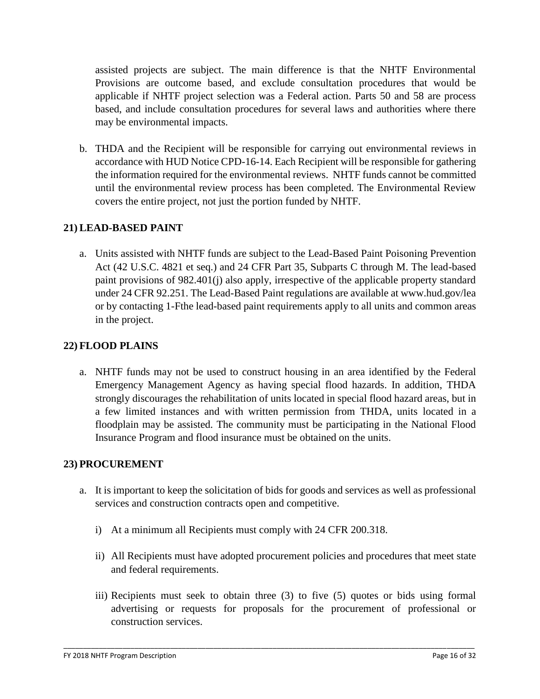assisted projects are subject. The main difference is that the NHTF Environmental Provisions are outcome based, and exclude consultation procedures that would be applicable if NHTF project selection was a Federal action. Parts 50 and 58 are process based, and include consultation procedures for several laws and authorities where there may be environmental impacts.

b. THDA and the Recipient will be responsible for carrying out environmental reviews in accordance with HUD Notice CPD-16-14. Each Recipient will be responsible for gathering the information required for the environmental reviews. NHTF funds cannot be committed until the environmental review process has been completed. The Environmental Review covers the entire project, not just the portion funded by NHTF.

### **21) LEAD-BASED PAINT**

a. Units assisted with NHTF funds are subject to the Lead-Based Paint Poisoning Prevention Act (42 U.S.C. 4821 et seq.) and 24 CFR Part 35, Subparts C through M. The lead-based paint provisions of 982.401(j) also apply, irrespective of the applicable property standard under 24 CFR 92.251. The Lead-Based Paint regulations are available at www.hud.gov/lea or by contacting 1-Fthe lead-based paint requirements apply to all units and common areas in the project.

#### **22) FLOOD PLAINS**

a. NHTF funds may not be used to construct housing in an area identified by the Federal Emergency Management Agency as having special flood hazards. In addition, THDA strongly discourages the rehabilitation of units located in special flood hazard areas, but in a few limited instances and with written permission from THDA, units located in a floodplain may be assisted. The community must be participating in the National Flood Insurance Program and flood insurance must be obtained on the units.

#### **23) PROCUREMENT**

- a. It is important to keep the solicitation of bids for goods and services as well as professional services and construction contracts open and competitive.
	- i) At a minimum all Recipients must comply with 24 CFR 200.318.
	- ii) All Recipients must have adopted procurement policies and procedures that meet state and federal requirements.
	- iii) Recipients must seek to obtain three (3) to five (5) quotes or bids using formal advertising or requests for proposals for the procurement of professional or construction services.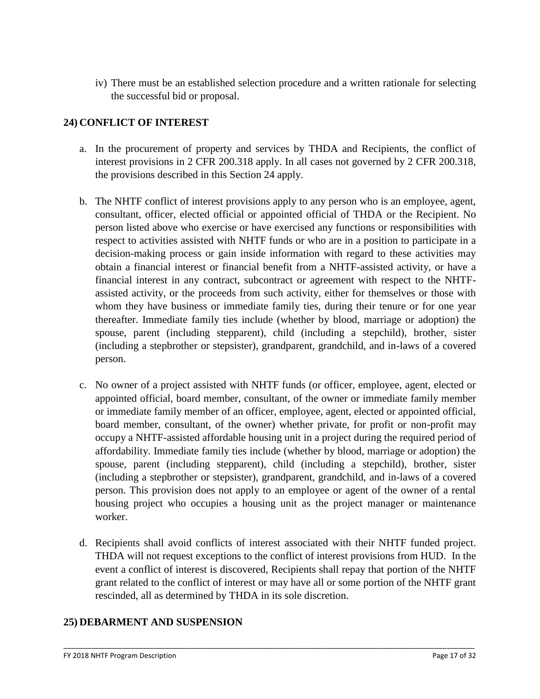iv) There must be an established selection procedure and a written rationale for selecting the successful bid or proposal.

### **24) CONFLICT OF INTEREST**

- a. In the procurement of property and services by THDA and Recipients, the conflict of interest provisions in 2 CFR 200.318 apply. In all cases not governed by 2 CFR 200.318, the provisions described in this Section 24 apply.
- b. The NHTF conflict of interest provisions apply to any person who is an employee, agent, consultant, officer, elected official or appointed official of THDA or the Recipient. No person listed above who exercise or have exercised any functions or responsibilities with respect to activities assisted with NHTF funds or who are in a position to participate in a decision-making process or gain inside information with regard to these activities may obtain a financial interest or financial benefit from a NHTF-assisted activity, or have a financial interest in any contract, subcontract or agreement with respect to the NHTFassisted activity, or the proceeds from such activity, either for themselves or those with whom they have business or immediate family ties, during their tenure or for one year thereafter. Immediate family ties include (whether by blood, marriage or adoption) the spouse, parent (including stepparent), child (including a stepchild), brother, sister (including a stepbrother or stepsister), grandparent, grandchild, and in-laws of a covered person.
- c. No owner of a project assisted with NHTF funds (or officer, employee, agent, elected or appointed official, board member, consultant, of the owner or immediate family member or immediate family member of an officer, employee, agent, elected or appointed official, board member, consultant, of the owner) whether private, for profit or non-profit may occupy a NHTF-assisted affordable housing unit in a project during the required period of affordability. Immediate family ties include (whether by blood, marriage or adoption) the spouse, parent (including stepparent), child (including a stepchild), brother, sister (including a stepbrother or stepsister), grandparent, grandchild, and in-laws of a covered person. This provision does not apply to an employee or agent of the owner of a rental housing project who occupies a housing unit as the project manager or maintenance worker.
- d. Recipients shall avoid conflicts of interest associated with their NHTF funded project. THDA will not request exceptions to the conflict of interest provisions from HUD. In the event a conflict of interest is discovered, Recipients shall repay that portion of the NHTF grant related to the conflict of interest or may have all or some portion of the NHTF grant rescinded, all as determined by THDA in its sole discretion.

\_\_\_\_\_\_\_\_\_\_\_\_\_\_\_\_\_\_\_\_\_\_\_\_\_\_\_\_\_\_\_\_\_\_\_\_\_\_\_\_\_\_\_\_\_\_\_\_\_\_\_\_\_\_\_\_\_\_\_\_\_\_\_\_\_\_\_\_\_\_\_\_\_\_\_\_\_\_\_\_\_\_\_\_\_\_\_\_\_\_\_\_\_\_\_\_\_\_\_\_\_\_\_\_

## **25) DEBARMENT AND SUSPENSION**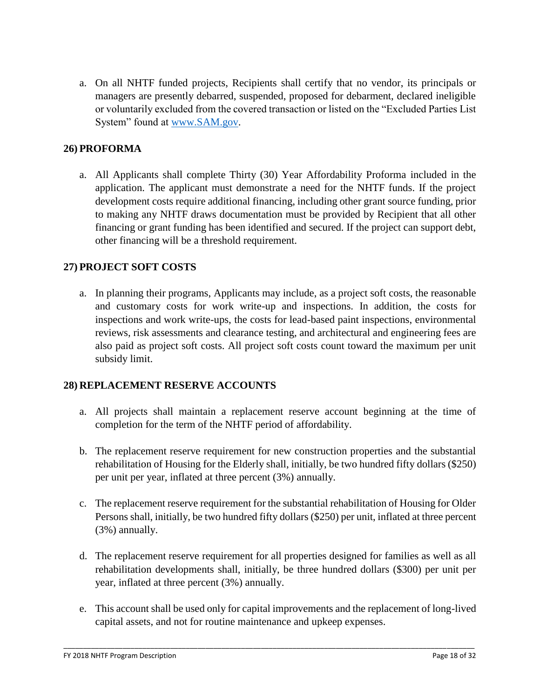a. On all NHTF funded projects, Recipients shall certify that no vendor, its principals or managers are presently debarred, suspended, proposed for debarment, declared ineligible or voluntarily excluded from the covered transaction or listed on the "Excluded Parties List System" found at [www.SAM.gov.](http://www.sam.gov/)

### **26) PROFORMA**

a. All Applicants shall complete Thirty (30) Year Affordability Proforma included in the application. The applicant must demonstrate a need for the NHTF funds. If the project development costs require additional financing, including other grant source funding, prior to making any NHTF draws documentation must be provided by Recipient that all other financing or grant funding has been identified and secured. If the project can support debt, other financing will be a threshold requirement.

### **27) PROJECT SOFT COSTS**

a. In planning their programs, Applicants may include, as a project soft costs, the reasonable and customary costs for work write-up and inspections. In addition, the costs for inspections and work write-ups, the costs for lead-based paint inspections, environmental reviews, risk assessments and clearance testing, and architectural and engineering fees are also paid as project soft costs. All project soft costs count toward the maximum per unit subsidy limit.

#### **28) REPLACEMENT RESERVE ACCOUNTS**

- a. All projects shall maintain a replacement reserve account beginning at the time of completion for the term of the NHTF period of affordability.
- b. The replacement reserve requirement for new construction properties and the substantial rehabilitation of Housing for the Elderly shall, initially, be two hundred fifty dollars (\$250) per unit per year, inflated at three percent (3%) annually.
- c. The replacement reserve requirement for the substantial rehabilitation of Housing for Older Persons shall, initially, be two hundred fifty dollars (\$250) per unit, inflated at three percent (3%) annually.
- d. The replacement reserve requirement for all properties designed for families as well as all rehabilitation developments shall, initially, be three hundred dollars (\$300) per unit per year, inflated at three percent (3%) annually.
- e. This account shall be used only for capital improvements and the replacement of long-lived capital assets, and not for routine maintenance and upkeep expenses.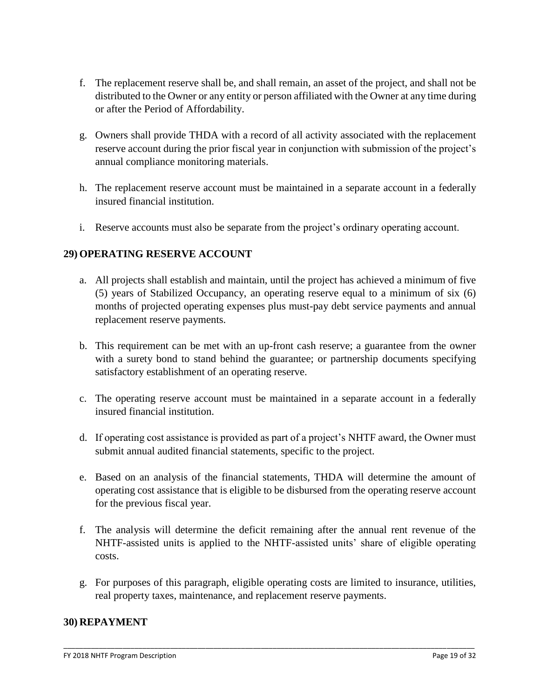- f. The replacement reserve shall be, and shall remain, an asset of the project, and shall not be distributed to the Owner or any entity or person affiliated with the Owner at any time during or after the Period of Affordability.
- g. Owners shall provide THDA with a record of all activity associated with the replacement reserve account during the prior fiscal year in conjunction with submission of the project's annual compliance monitoring materials.
- h. The replacement reserve account must be maintained in a separate account in a federally insured financial institution.
- i. Reserve accounts must also be separate from the project's ordinary operating account.

### **29) OPERATING RESERVE ACCOUNT**

- a. All projects shall establish and maintain, until the project has achieved a minimum of five (5) years of Stabilized Occupancy, an operating reserve equal to a minimum of six (6) months of projected operating expenses plus must-pay debt service payments and annual replacement reserve payments.
- b. This requirement can be met with an up-front cash reserve; a guarantee from the owner with a surety bond to stand behind the guarantee; or partnership documents specifying satisfactory establishment of an operating reserve.
- c. The operating reserve account must be maintained in a separate account in a federally insured financial institution.
- d. If operating cost assistance is provided as part of a project's NHTF award, the Owner must submit annual audited financial statements, specific to the project.
- e. Based on an analysis of the financial statements, THDA will determine the amount of operating cost assistance that is eligible to be disbursed from the operating reserve account for the previous fiscal year.
- f. The analysis will determine the deficit remaining after the annual rent revenue of the NHTF-assisted units is applied to the NHTF-assisted units' share of eligible operating costs.
- g. For purposes of this paragraph, eligible operating costs are limited to insurance, utilities, real property taxes, maintenance, and replacement reserve payments.

\_\_\_\_\_\_\_\_\_\_\_\_\_\_\_\_\_\_\_\_\_\_\_\_\_\_\_\_\_\_\_\_\_\_\_\_\_\_\_\_\_\_\_\_\_\_\_\_\_\_\_\_\_\_\_\_\_\_\_\_\_\_\_\_\_\_\_\_\_\_\_\_\_\_\_\_\_\_\_\_\_\_\_\_\_\_\_\_\_\_\_\_\_\_\_\_\_\_\_\_\_\_\_\_

#### **30) REPAYMENT**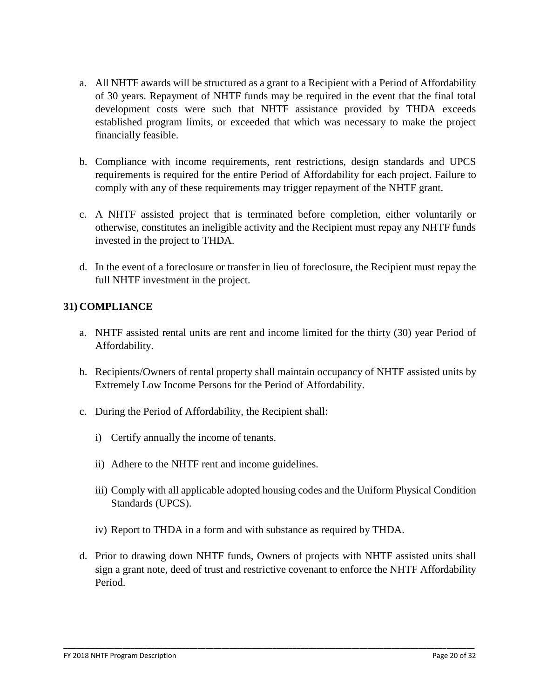- a. All NHTF awards will be structured as a grant to a Recipient with a Period of Affordability of 30 years. Repayment of NHTF funds may be required in the event that the final total development costs were such that NHTF assistance provided by THDA exceeds established program limits, or exceeded that which was necessary to make the project financially feasible.
- b. Compliance with income requirements, rent restrictions, design standards and UPCS requirements is required for the entire Period of Affordability for each project. Failure to comply with any of these requirements may trigger repayment of the NHTF grant.
- c. A NHTF assisted project that is terminated before completion, either voluntarily or otherwise, constitutes an ineligible activity and the Recipient must repay any NHTF funds invested in the project to THDA.
- d. In the event of a foreclosure or transfer in lieu of foreclosure, the Recipient must repay the full NHTF investment in the project.

## **31) COMPLIANCE**

- a. NHTF assisted rental units are rent and income limited for the thirty (30) year Period of Affordability.
- b. Recipients/Owners of rental property shall maintain occupancy of NHTF assisted units by Extremely Low Income Persons for the Period of Affordability.
- c. During the Period of Affordability, the Recipient shall:
	- i) Certify annually the income of tenants.
	- ii) Adhere to the NHTF rent and income guidelines.
	- iii) Comply with all applicable adopted housing codes and the Uniform Physical Condition Standards (UPCS).
	- iv) Report to THDA in a form and with substance as required by THDA.
- d. Prior to drawing down NHTF funds, Owners of projects with NHTF assisted units shall sign a grant note, deed of trust and restrictive covenant to enforce the NHTF Affordability Period.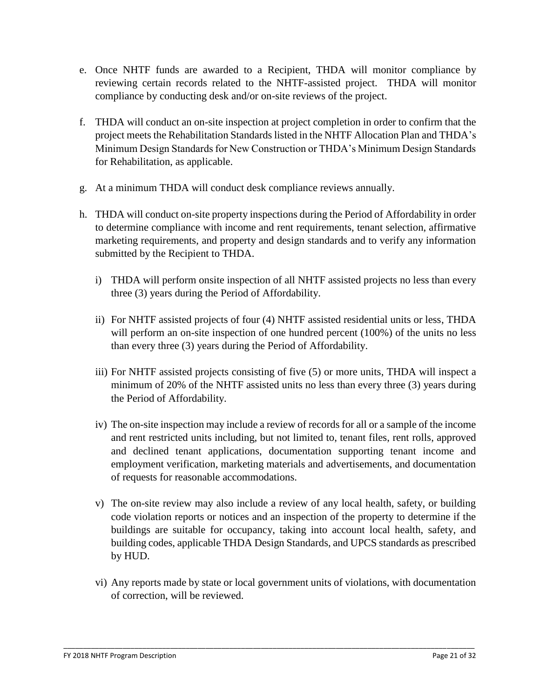- e. Once NHTF funds are awarded to a Recipient, THDA will monitor compliance by reviewing certain records related to the NHTF-assisted project. THDA will monitor compliance by conducting desk and/or on-site reviews of the project.
- f. THDA will conduct an on-site inspection at project completion in order to confirm that the project meets the Rehabilitation Standards listed in the NHTF Allocation Plan and THDA's Minimum Design Standards for New Construction or THDA's Minimum Design Standards for Rehabilitation, as applicable.
- g. At a minimum THDA will conduct desk compliance reviews annually.
- h. THDA will conduct on-site property inspections during the Period of Affordability in order to determine compliance with income and rent requirements, tenant selection, affirmative marketing requirements, and property and design standards and to verify any information submitted by the Recipient to THDA.
	- i) THDA will perform onsite inspection of all NHTF assisted projects no less than every three (3) years during the Period of Affordability.
	- ii) For NHTF assisted projects of four (4) NHTF assisted residential units or less, THDA will perform an on-site inspection of one hundred percent (100%) of the units no less than every three (3) years during the Period of Affordability.
	- iii) For NHTF assisted projects consisting of five (5) or more units, THDA will inspect a minimum of 20% of the NHTF assisted units no less than every three (3) years during the Period of Affordability.
	- iv) The on-site inspection may include a review of records for all or a sample of the income and rent restricted units including, but not limited to, tenant files, rent rolls, approved and declined tenant applications, documentation supporting tenant income and employment verification, marketing materials and advertisements, and documentation of requests for reasonable accommodations.
	- v) The on-site review may also include a review of any local health, safety, or building code violation reports or notices and an inspection of the property to determine if the buildings are suitable for occupancy, taking into account local health, safety, and building codes, applicable THDA Design Standards, and UPCS standards as prescribed by HUD.
	- vi) Any reports made by state or local government units of violations, with documentation of correction, will be reviewed.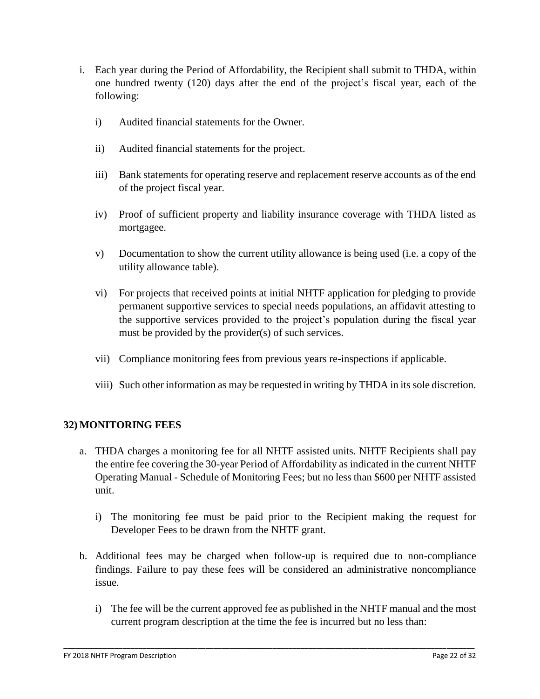- i. Each year during the Period of Affordability, the Recipient shall submit to THDA, within one hundred twenty (120) days after the end of the project's fiscal year, each of the following:
	- i) Audited financial statements for the Owner.
	- ii) Audited financial statements for the project.
	- iii) Bank statements for operating reserve and replacement reserve accounts as of the end of the project fiscal year.
	- iv) Proof of sufficient property and liability insurance coverage with THDA listed as mortgagee.
	- v) Documentation to show the current utility allowance is being used (i.e. a copy of the utility allowance table).
	- vi) For projects that received points at initial NHTF application for pledging to provide permanent supportive services to special needs populations, an affidavit attesting to the supportive services provided to the project's population during the fiscal year must be provided by the provider(s) of such services.
	- vii) Compliance monitoring fees from previous years re-inspections if applicable.
	- viii) Such other information as may be requested in writing by THDA in its sole discretion.

#### **32) MONITORING FEES**

- a. THDA charges a monitoring fee for all NHTF assisted units. NHTF Recipients shall pay the entire fee covering the 30-year Period of Affordability as indicated in the current NHTF Operating Manual - Schedule of Monitoring Fees; but no less than \$600 per NHTF assisted unit.
	- i) The monitoring fee must be paid prior to the Recipient making the request for Developer Fees to be drawn from the NHTF grant.
- b. Additional fees may be charged when follow-up is required due to non-compliance findings. Failure to pay these fees will be considered an administrative noncompliance issue.
	- i) The fee will be the current approved fee as published in the NHTF manual and the most current program description at the time the fee is incurred but no less than: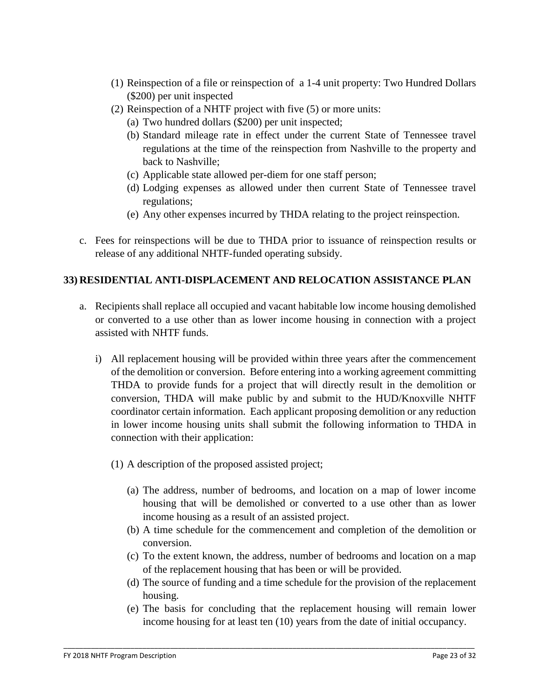- (1) Reinspection of a file or reinspection of a 1-4 unit property: Two Hundred Dollars (\$200) per unit inspected
- (2) Reinspection of a NHTF project with five (5) or more units:
	- (a) Two hundred dollars (\$200) per unit inspected;
	- (b) Standard mileage rate in effect under the current State of Tennessee travel regulations at the time of the reinspection from Nashville to the property and back to Nashville;
	- (c) Applicable state allowed per-diem for one staff person;
	- (d) Lodging expenses as allowed under then current State of Tennessee travel regulations;
	- (e) Any other expenses incurred by THDA relating to the project reinspection.
- c. Fees for reinspections will be due to THDA prior to issuance of reinspection results or release of any additional NHTF-funded operating subsidy.

### **33) RESIDENTIAL ANTI-DISPLACEMENT AND RELOCATION ASSISTANCE PLAN**

- a. Recipients shall replace all occupied and vacant habitable low income housing demolished or converted to a use other than as lower income housing in connection with a project assisted with NHTF funds.
	- i) All replacement housing will be provided within three years after the commencement of the demolition or conversion. Before entering into a working agreement committing THDA to provide funds for a project that will directly result in the demolition or conversion, THDA will make public by and submit to the HUD/Knoxville NHTF coordinator certain information. Each applicant proposing demolition or any reduction in lower income housing units shall submit the following information to THDA in connection with their application:
		- (1) A description of the proposed assisted project;
			- (a) The address, number of bedrooms, and location on a map of lower income housing that will be demolished or converted to a use other than as lower income housing as a result of an assisted project.
			- (b) A time schedule for the commencement and completion of the demolition or conversion.
			- (c) To the extent known, the address, number of bedrooms and location on a map of the replacement housing that has been or will be provided.
			- (d) The source of funding and a time schedule for the provision of the replacement housing.
			- (e) The basis for concluding that the replacement housing will remain lower income housing for at least ten (10) years from the date of initial occupancy.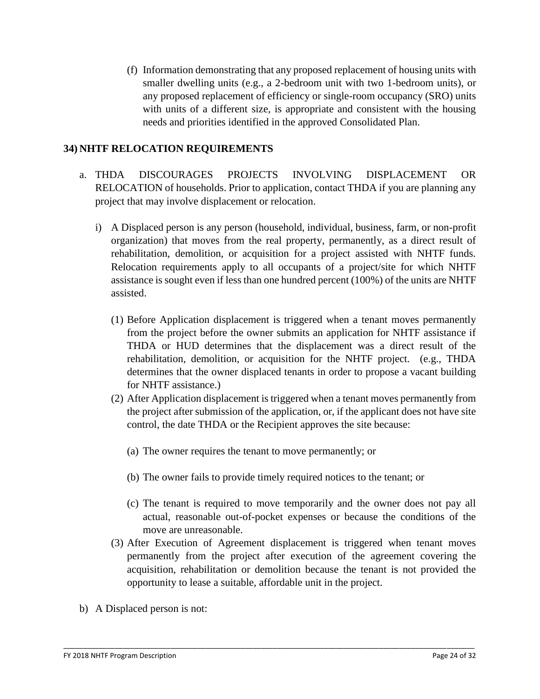(f) Information demonstrating that any proposed replacement of housing units with smaller dwelling units (e.g., a 2-bedroom unit with two 1-bedroom units), or any proposed replacement of efficiency or single-room occupancy (SRO) units with units of a different size, is appropriate and consistent with the housing needs and priorities identified in the approved Consolidated Plan.

#### **34) NHTF RELOCATION REQUIREMENTS**

- a. THDA DISCOURAGES PROJECTS INVOLVING DISPLACEMENT OR RELOCATION of households. Prior to application, contact THDA if you are planning any project that may involve displacement or relocation.
	- i) A Displaced person is any person (household, individual, business, farm, or non-profit organization) that moves from the real property, permanently, as a direct result of rehabilitation, demolition, or acquisition for a project assisted with NHTF funds. Relocation requirements apply to all occupants of a project/site for which NHTF assistance is sought even if less than one hundred percent (100%) of the units are NHTF assisted.
		- (1) Before Application displacement is triggered when a tenant moves permanently from the project before the owner submits an application for NHTF assistance if THDA or HUD determines that the displacement was a direct result of the rehabilitation, demolition, or acquisition for the NHTF project. (e.g., THDA determines that the owner displaced tenants in order to propose a vacant building for NHTF assistance.)
		- (2) After Application displacement is triggered when a tenant moves permanently from the project after submission of the application, or, if the applicant does not have site control, the date THDA or the Recipient approves the site because:
			- (a) The owner requires the tenant to move permanently; or
			- (b) The owner fails to provide timely required notices to the tenant; or
			- (c) The tenant is required to move temporarily and the owner does not pay all actual, reasonable out-of-pocket expenses or because the conditions of the move are unreasonable.
		- (3) After Execution of Agreement displacement is triggered when tenant moves permanently from the project after execution of the agreement covering the acquisition, rehabilitation or demolition because the tenant is not provided the opportunity to lease a suitable, affordable unit in the project.

\_\_\_\_\_\_\_\_\_\_\_\_\_\_\_\_\_\_\_\_\_\_\_\_\_\_\_\_\_\_\_\_\_\_\_\_\_\_\_\_\_\_\_\_\_\_\_\_\_\_\_\_\_\_\_\_\_\_\_\_\_\_\_\_\_\_\_\_\_\_\_\_\_\_\_\_\_\_\_\_\_\_\_\_\_\_\_\_\_\_\_\_\_\_\_\_\_\_\_\_\_\_\_\_

b) A Displaced person is not: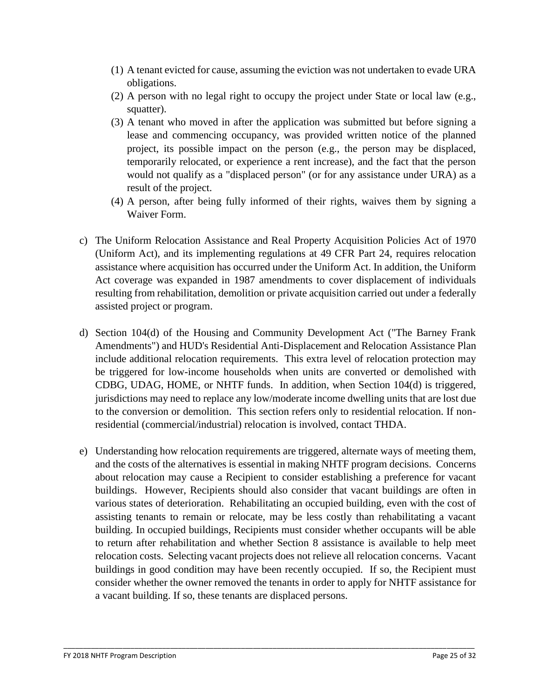- (1) A tenant evicted for cause, assuming the eviction was not undertaken to evade URA obligations.
- (2) A person with no legal right to occupy the project under State or local law (e.g., squatter).
- (3) A tenant who moved in after the application was submitted but before signing a lease and commencing occupancy, was provided written notice of the planned project, its possible impact on the person (e.g., the person may be displaced, temporarily relocated, or experience a rent increase), and the fact that the person would not qualify as a "displaced person" (or for any assistance under URA) as a result of the project.
- (4) A person, after being fully informed of their rights, waives them by signing a Waiver Form.
- c) The Uniform Relocation Assistance and Real Property Acquisition Policies Act of 1970 (Uniform Act), and its implementing regulations at 49 CFR Part 24, requires relocation assistance where acquisition has occurred under the Uniform Act. In addition, the Uniform Act coverage was expanded in 1987 amendments to cover displacement of individuals resulting from rehabilitation, demolition or private acquisition carried out under a federally assisted project or program.
- d) Section 104(d) of the Housing and Community Development Act ("The Barney Frank Amendments") and HUD's Residential Anti-Displacement and Relocation Assistance Plan include additional relocation requirements. This extra level of relocation protection may be triggered for low-income households when units are converted or demolished with CDBG, UDAG, HOME, or NHTF funds. In addition, when Section 104(d) is triggered, jurisdictions may need to replace any low/moderate income dwelling units that are lost due to the conversion or demolition. This section refers only to residential relocation. If nonresidential (commercial/industrial) relocation is involved, contact THDA.
- e) Understanding how relocation requirements are triggered, alternate ways of meeting them, and the costs of the alternatives is essential in making NHTF program decisions. Concerns about relocation may cause a Recipient to consider establishing a preference for vacant buildings. However, Recipients should also consider that vacant buildings are often in various states of deterioration. Rehabilitating an occupied building, even with the cost of assisting tenants to remain or relocate, may be less costly than rehabilitating a vacant building. In occupied buildings, Recipients must consider whether occupants will be able to return after rehabilitation and whether Section 8 assistance is available to help meet relocation costs. Selecting vacant projects does not relieve all relocation concerns. Vacant buildings in good condition may have been recently occupied. If so, the Recipient must consider whether the owner removed the tenants in order to apply for NHTF assistance for a vacant building. If so, these tenants are displaced persons.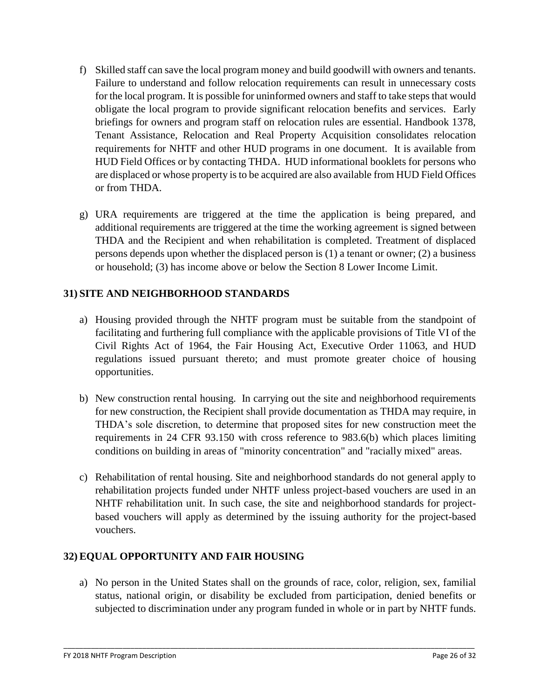- f) Skilled staff can save the local program money and build goodwill with owners and tenants. Failure to understand and follow relocation requirements can result in unnecessary costs for the local program. It is possible for uninformed owners and staff to take steps that would obligate the local program to provide significant relocation benefits and services. Early briefings for owners and program staff on relocation rules are essential. Handbook 1378, Tenant Assistance, Relocation and Real Property Acquisition consolidates relocation requirements for NHTF and other HUD programs in one document. It is available from HUD Field Offices or by contacting THDA. HUD informational booklets for persons who are displaced or whose property is to be acquired are also available from HUD Field Offices or from THDA.
- g) URA requirements are triggered at the time the application is being prepared, and additional requirements are triggered at the time the working agreement is signed between THDA and the Recipient and when rehabilitation is completed. Treatment of displaced persons depends upon whether the displaced person is (1) a tenant or owner; (2) a business or household; (3) has income above or below the Section 8 Lower Income Limit.

## **31) SITE AND NEIGHBORHOOD STANDARDS**

- a) Housing provided through the NHTF program must be suitable from the standpoint of facilitating and furthering full compliance with the applicable provisions of Title VI of the Civil Rights Act of 1964, the Fair Housing Act, Executive Order 11063, and HUD regulations issued pursuant thereto; and must promote greater choice of housing opportunities.
- b) New construction rental housing. In carrying out the site and neighborhood requirements for new construction, the Recipient shall provide documentation as THDA may require, in THDA's sole discretion, to determine that proposed sites for new construction meet the requirements in 24 CFR 93.150 with cross reference to 983.6(b) which places limiting conditions on building in areas of "minority concentration" and "racially mixed" areas.
- c) Rehabilitation of rental housing. Site and neighborhood standards do not general apply to rehabilitation projects funded under NHTF unless project-based vouchers are used in an NHTF rehabilitation unit. In such case, the site and neighborhood standards for projectbased vouchers will apply as determined by the issuing authority for the project-based vouchers.

## **32) EQUAL OPPORTUNITY AND FAIR HOUSING**

a) No person in the United States shall on the grounds of race, color, religion, sex, familial status, national origin, or disability be excluded from participation, denied benefits or subjected to discrimination under any program funded in whole or in part by NHTF funds.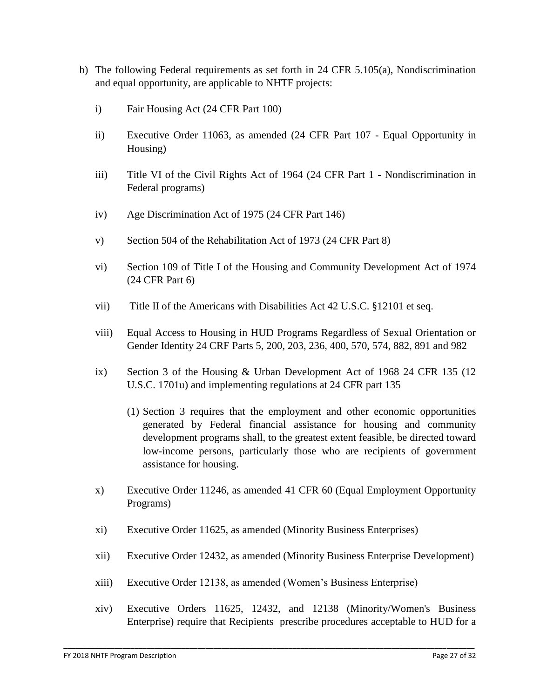- b) The following Federal requirements as set forth in 24 CFR 5.105(a), Nondiscrimination and equal opportunity, are applicable to NHTF projects:
	- i) Fair Housing Act (24 CFR Part 100)
	- ii) Executive Order 11063, as amended (24 CFR Part 107 Equal Opportunity in Housing)
	- iii) Title VI of the Civil Rights Act of 1964 (24 CFR Part 1 Nondiscrimination in Federal programs)
	- iv) Age Discrimination Act of 1975 (24 CFR Part 146)
	- v) Section 504 of the Rehabilitation Act of 1973 (24 CFR Part 8)
	- vi) Section 109 of Title I of the Housing and Community Development Act of 1974 (24 CFR Part 6)
	- vii) Title II of the Americans with Disabilities Act 42 U.S.C. §12101 et seq.
	- viii) Equal Access to Housing in HUD Programs Regardless of Sexual Orientation or Gender Identity 24 CRF Parts 5, 200, 203, 236, 400, 570, 574, 882, 891 and 982
	- ix) Section 3 of the Housing & Urban Development Act of 1968 24 CFR 135 (12 U.S.C. 1701u) and implementing regulations at 24 CFR part 135
		- (1) Section 3 requires that the employment and other economic opportunities generated by Federal financial assistance for housing and community development programs shall, to the greatest extent feasible, be directed toward low-income persons, particularly those who are recipients of government assistance for housing.
	- x) Executive Order 11246, as amended 41 CFR 60 (Equal Employment Opportunity Programs)
	- xi) Executive Order 11625, as amended (Minority Business Enterprises)
	- xii) Executive Order 12432, as amended (Minority Business Enterprise Development)
	- xiii) Executive Order 12138, as amended (Women's Business Enterprise)
	- xiv) Executive Orders 11625, 12432, and 12138 (Minority/Women's Business Enterprise) require that Recipients prescribe procedures acceptable to HUD for a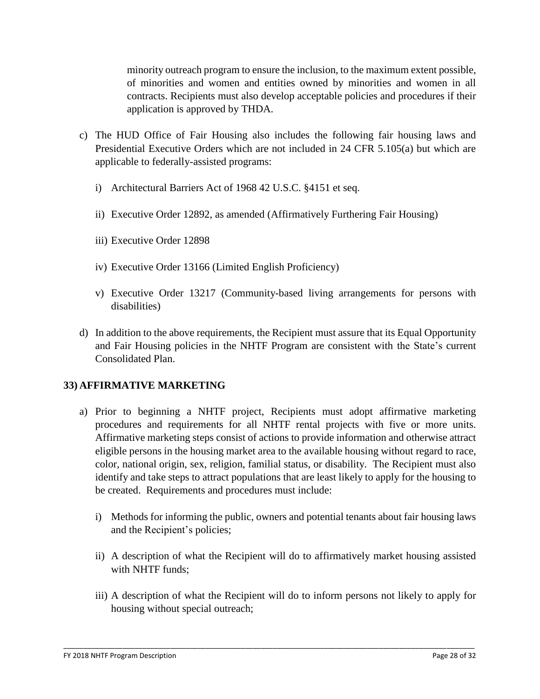minority outreach program to ensure the inclusion, to the maximum extent possible, of minorities and women and entities owned by minorities and women in all contracts. Recipients must also develop acceptable policies and procedures if their application is approved by THDA.

- c) The HUD Office of Fair Housing also includes the following fair housing laws and Presidential Executive Orders which are not included in 24 CFR 5.105(a) but which are applicable to federally-assisted programs:
	- i) Architectural Barriers Act of 1968 42 U.S.C. §4151 et seq.
	- ii) Executive Order 12892, as amended (Affirmatively Furthering Fair Housing)
	- iii) Executive Order 12898
	- iv) Executive Order 13166 (Limited English Proficiency)
	- v) Executive Order 13217 (Community-based living arrangements for persons with disabilities)
- d) In addition to the above requirements, the Recipient must assure that its Equal Opportunity and Fair Housing policies in the NHTF Program are consistent with the State's current Consolidated Plan.

#### **33) AFFIRMATIVE MARKETING**

- a) Prior to beginning a NHTF project, Recipients must adopt affirmative marketing procedures and requirements for all NHTF rental projects with five or more units. Affirmative marketing steps consist of actions to provide information and otherwise attract eligible persons in the housing market area to the available housing without regard to race, color, national origin, sex, religion, familial status, or disability. The Recipient must also identify and take steps to attract populations that are least likely to apply for the housing to be created. Requirements and procedures must include:
	- i) Methods for informing the public, owners and potential tenants about fair housing laws and the Recipient's policies;
	- ii) A description of what the Recipient will do to affirmatively market housing assisted with NHTF funds;
	- iii) A description of what the Recipient will do to inform persons not likely to apply for housing without special outreach;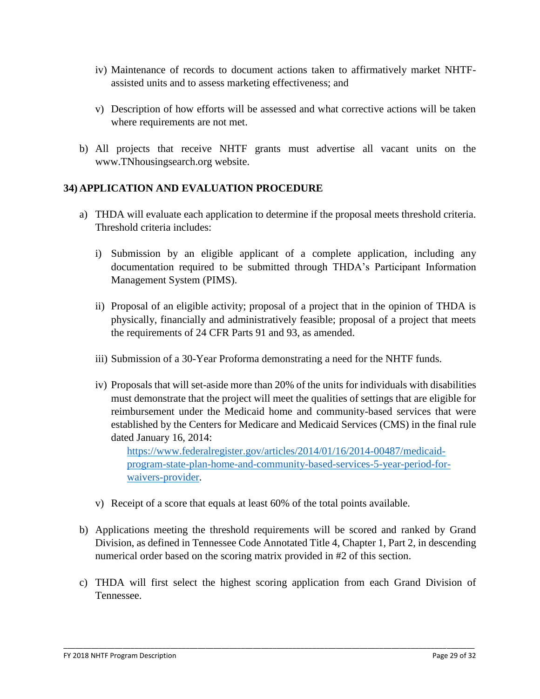- iv) Maintenance of records to document actions taken to affirmatively market NHTFassisted units and to assess marketing effectiveness; and
- v) Description of how efforts will be assessed and what corrective actions will be taken where requirements are not met.
- b) All projects that receive NHTF grants must advertise all vacant units on the www.TNhousingsearch.org website.

#### **34) APPLICATION AND EVALUATION PROCEDURE**

- a) THDA will evaluate each application to determine if the proposal meets threshold criteria. Threshold criteria includes:
	- i) Submission by an eligible applicant of a complete application, including any documentation required to be submitted through THDA's Participant Information Management System (PIMS).
	- ii) Proposal of an eligible activity; proposal of a project that in the opinion of THDA is physically, financially and administratively feasible; proposal of a project that meets the requirements of 24 CFR Parts 91 and 93, as amended.
	- iii) Submission of a 30-Year Proforma demonstrating a need for the NHTF funds.
	- iv) Proposals that will set-aside more than 20% of the units for individuals with disabilities must demonstrate that the project will meet the qualities of settings that are eligible for reimbursement under the Medicaid home and community-based services that were established by the Centers for Medicare and Medicaid Services (CMS) in the final rule dated January 16, 2014:

[https://www.federalregister.gov/articles/2014/01/16/2014-00487/medicaid](https://www.federalregister.gov/articles/2014/01/16/2014-00487/medicaid-program-state-plan-home-and-community-based-services-5-year-period-for-waivers-provider)[program-state-plan-home-and-community-based-services-5-year-period-for](https://www.federalregister.gov/articles/2014/01/16/2014-00487/medicaid-program-state-plan-home-and-community-based-services-5-year-period-for-waivers-provider)[waivers-provider.](https://www.federalregister.gov/articles/2014/01/16/2014-00487/medicaid-program-state-plan-home-and-community-based-services-5-year-period-for-waivers-provider)

- v) Receipt of a score that equals at least 60% of the total points available.
- b) Applications meeting the threshold requirements will be scored and ranked by Grand Division, as defined in Tennessee Code Annotated Title 4, Chapter 1, Part 2, in descending numerical order based on the scoring matrix provided in #2 of this section.
- c) THDA will first select the highest scoring application from each Grand Division of Tennessee.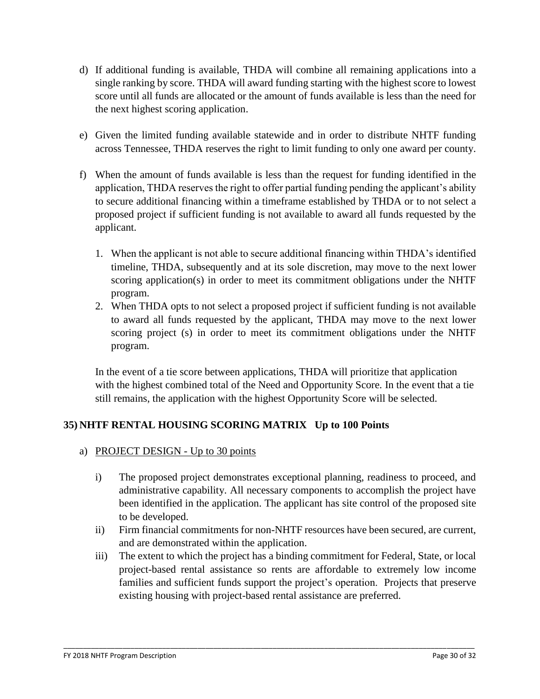- d) If additional funding is available, THDA will combine all remaining applications into a single ranking by score. THDA will award funding starting with the highest score to lowest score until all funds are allocated or the amount of funds available is less than the need for the next highest scoring application.
- e) Given the limited funding available statewide and in order to distribute NHTF funding across Tennessee, THDA reserves the right to limit funding to only one award per county.
- f) When the amount of funds available is less than the request for funding identified in the application, THDA reserves the right to offer partial funding pending the applicant's ability to secure additional financing within a timeframe established by THDA or to not select a proposed project if sufficient funding is not available to award all funds requested by the applicant.
	- 1. When the applicant is not able to secure additional financing within THDA's identified timeline, THDA, subsequently and at its sole discretion, may move to the next lower scoring application(s) in order to meet its commitment obligations under the NHTF program.
	- 2. When THDA opts to not select a proposed project if sufficient funding is not available to award all funds requested by the applicant, THDA may move to the next lower scoring project (s) in order to meet its commitment obligations under the NHTF program.

In the event of a tie score between applications, THDA will prioritize that application with the highest combined total of the Need and Opportunity Score. In the event that a tie still remains, the application with the highest Opportunity Score will be selected.

## **35) NHTF RENTAL HOUSING SCORING MATRIX Up to 100 Points**

- a) PROJECT DESIGN Up to 30 points
	- i) The proposed project demonstrates exceptional planning, readiness to proceed, and administrative capability. All necessary components to accomplish the project have been identified in the application. The applicant has site control of the proposed site to be developed.
	- ii) Firm financial commitments for non-NHTF resources have been secured, are current, and are demonstrated within the application.
	- iii) The extent to which the project has a binding commitment for Federal, State, or local project-based rental assistance so rents are affordable to extremely low income families and sufficient funds support the project's operation. Projects that preserve existing housing with project-based rental assistance are preferred.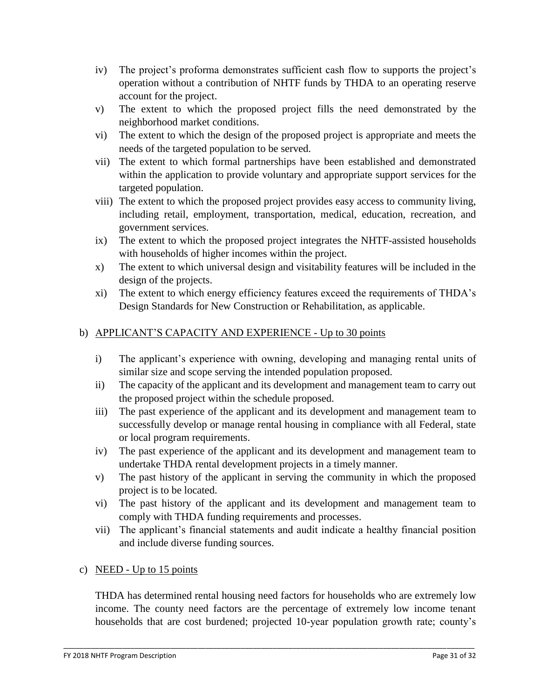- iv) The project's proforma demonstrates sufficient cash flow to supports the project's operation without a contribution of NHTF funds by THDA to an operating reserve account for the project.
- v) The extent to which the proposed project fills the need demonstrated by the neighborhood market conditions.
- vi) The extent to which the design of the proposed project is appropriate and meets the needs of the targeted population to be served.
- vii) The extent to which formal partnerships have been established and demonstrated within the application to provide voluntary and appropriate support services for the targeted population.
- viii) The extent to which the proposed project provides easy access to community living, including retail, employment, transportation, medical, education, recreation, and government services.
- ix) The extent to which the proposed project integrates the NHTF-assisted households with households of higher incomes within the project.
- x) The extent to which universal design and visitability features will be included in the design of the projects.
- xi) The extent to which energy efficiency features exceed the requirements of THDA's Design Standards for New Construction or Rehabilitation, as applicable.

### b) APPLICANT'S CAPACITY AND EXPERIENCE - Up to 30 points

- i) The applicant's experience with owning, developing and managing rental units of similar size and scope serving the intended population proposed.
- ii) The capacity of the applicant and its development and management team to carry out the proposed project within the schedule proposed.
- iii) The past experience of the applicant and its development and management team to successfully develop or manage rental housing in compliance with all Federal, state or local program requirements.
- iv) The past experience of the applicant and its development and management team to undertake THDA rental development projects in a timely manner.
- v) The past history of the applicant in serving the community in which the proposed project is to be located.
- vi) The past history of the applicant and its development and management team to comply with THDA funding requirements and processes.
- vii) The applicant's financial statements and audit indicate a healthy financial position and include diverse funding sources.

#### c) NEED - Up to 15 points

THDA has determined rental housing need factors for households who are extremely low income. The county need factors are the percentage of extremely low income tenant households that are cost burdened; projected 10-year population growth rate; county's